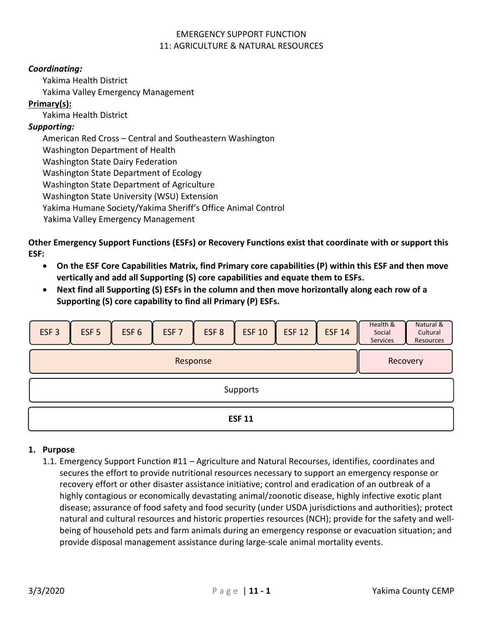### *Coordinating:*

Yakima Health District

Yakima Valley Emergency Management

## **Primary(s):**

Yakima Health District

### *Supporting:*

American Red Cross – Central and Southeastern Washington Washington Department of Health

Washington State Dairy Federation

Washington State Department of Ecology

Washington State Department of Agriculture

Washington State University (WSU) Extension

Yakima Humane Society/Yakima Sheriff's Office Animal Control

Yakima Valley Emergency Management

**Other Emergency Support Functions (ESFs) or Recovery Functions exist that coordinate with or support this ESF:** 

- **On the ESF Core Capabilities Matrix, find Primary core capabilities (P) within this ESF and then move vertically and add all Supporting (S) core capabilities and equate them to ESFs.**
- **Next find all Supporting (S) ESFs in the column and then move horizontally along each row of a Supporting (S) core capability to find all Primary (P) ESFs.**

| ESF <sub>3</sub> | ESF <sub>5</sub>     | ESF <sub>6</sub> | ESF <sub>7</sub> | ESF <sub>8</sub> | <b>ESF 10</b> | <b>ESF 12</b> | <b>ESF 14</b> | Health &<br>Social<br><b>Services</b> | Natural &<br>Cultural<br>Resources |
|------------------|----------------------|------------------|------------------|------------------|---------------|---------------|---------------|---------------------------------------|------------------------------------|
|                  | Response<br>Recovery |                  |                  |                  |               |               |               |                                       |                                    |
|                  | Supports             |                  |                  |                  |               |               |               |                                       |                                    |
| <b>ESF 11</b>    |                      |                  |                  |                  |               |               |               |                                       |                                    |

## **1. Purpose**

1.1. Emergency Support Function #11 – Agriculture and Natural Recourses, identifies, coordinates and secures the effort to provide nutritional resources necessary to support an emergency response or recovery effort or other disaster assistance initiative; control and eradication of an outbreak of a highly contagious or economically devastating animal/zoonotic disease, highly infective exotic plant disease; assurance of food safety and food security (under USDA jurisdictions and authorities); protect natural and cultural resources and historic properties resources (NCH); provide for the safety and wellbeing of household pets and farm animals during an emergency response or evacuation situation; and provide disposal management assistance during large-scale animal mortality events.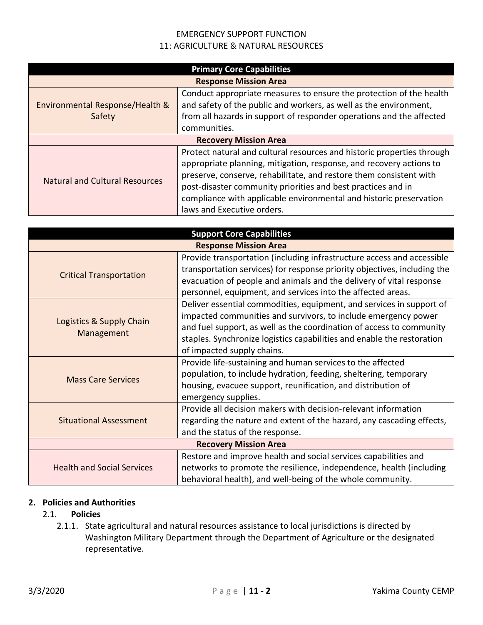| <b>Primary Core Capabilities</b>          |                                                                                                                                                                                                                                                                                                                                                                                         |  |  |
|-------------------------------------------|-----------------------------------------------------------------------------------------------------------------------------------------------------------------------------------------------------------------------------------------------------------------------------------------------------------------------------------------------------------------------------------------|--|--|
|                                           | <b>Response Mission Area</b>                                                                                                                                                                                                                                                                                                                                                            |  |  |
| Environmental Response/Health &<br>Safety | Conduct appropriate measures to ensure the protection of the health<br>and safety of the public and workers, as well as the environment,<br>from all hazards in support of responder operations and the affected<br>communities.                                                                                                                                                        |  |  |
|                                           | <b>Recovery Mission Area</b>                                                                                                                                                                                                                                                                                                                                                            |  |  |
| <b>Natural and Cultural Resources</b>     | Protect natural and cultural resources and historic properties through<br>appropriate planning, mitigation, response, and recovery actions to<br>preserve, conserve, rehabilitate, and restore them consistent with<br>post-disaster community priorities and best practices and in<br>compliance with applicable environmental and historic preservation<br>laws and Executive orders. |  |  |

| <b>Support Core Capabilities</b>       |                                                                                                                                                                                                                                                                                                                        |  |  |  |  |
|----------------------------------------|------------------------------------------------------------------------------------------------------------------------------------------------------------------------------------------------------------------------------------------------------------------------------------------------------------------------|--|--|--|--|
| <b>Response Mission Area</b>           |                                                                                                                                                                                                                                                                                                                        |  |  |  |  |
| <b>Critical Transportation</b>         | Provide transportation (including infrastructure access and accessible<br>transportation services) for response priority objectives, including the<br>evacuation of people and animals and the delivery of vital response<br>personnel, equipment, and services into the affected areas.                               |  |  |  |  |
| Logistics & Supply Chain<br>Management | Deliver essential commodities, equipment, and services in support of<br>impacted communities and survivors, to include emergency power<br>and fuel support, as well as the coordination of access to community<br>staples. Synchronize logistics capabilities and enable the restoration<br>of impacted supply chains. |  |  |  |  |
| <b>Mass Care Services</b>              | Provide life-sustaining and human services to the affected<br>population, to include hydration, feeding, sheltering, temporary<br>housing, evacuee support, reunification, and distribution of<br>emergency supplies.                                                                                                  |  |  |  |  |
| <b>Situational Assessment</b>          | Provide all decision makers with decision-relevant information<br>regarding the nature and extent of the hazard, any cascading effects,<br>and the status of the response.                                                                                                                                             |  |  |  |  |
|                                        | <b>Recovery Mission Area</b>                                                                                                                                                                                                                                                                                           |  |  |  |  |
| <b>Health and Social Services</b>      | Restore and improve health and social services capabilities and<br>networks to promote the resilience, independence, health (including<br>behavioral health), and well-being of the whole community.                                                                                                                   |  |  |  |  |

#### **2. Policies and Authorities**

### 2.1. **Policies**

2.1.1. State agricultural and natural resources assistance to local jurisdictions is directed by Washington Military Department through the Department of Agriculture or the designated representative.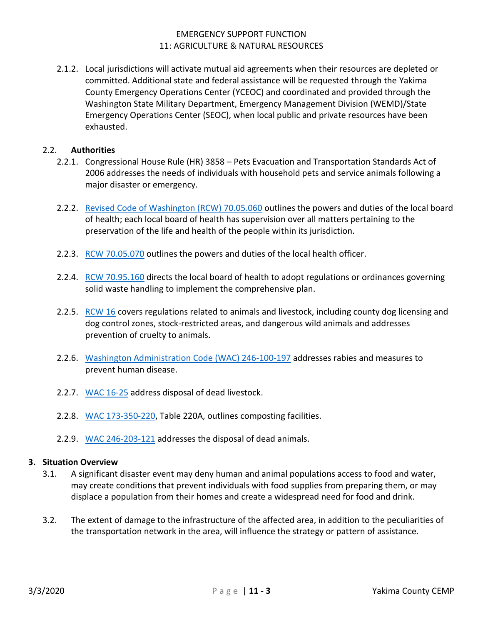2.1.2. Local jurisdictions will activate mutual aid agreements when their resources are depleted or committed. Additional state and federal assistance will be requested through the Yakima County Emergency Operations Center (YCEOC) and coordinated and provided through the Washington State Military Department, Emergency Management Division (WEMD)/State Emergency Operations Center (SEOC), when local public and private resources have been exhausted.

#### 2.2. **Authorities**

- 2.2.1. Congressional House Rule (HR) 3858 Pets Evacuation and Transportation Standards Act of 2006 addresses the needs of individuals with household pets and service animals following a major disaster or emergency.
- 2.2.2. [Revised Code of Washington \(RCW\) 70.05.060](https://app.leg.wa.gov/RCW/default.aspx?cite=70.05.060) outlines the powers and duties of the local board of health; each local board of health has supervision over all matters pertaining to the preservation of the life and health of the people within its jurisdiction.
- 2.2.3. RCW [70.05.070](https://app.leg.wa.gov/RCW/default.aspx?cite=70.05.070) outlines the powers and duties of the local health officer.
- 2.2.4. RCW [70.95.160](https://app.leg.wa.gov/RCW/default.aspx?cite=70.95.160) directs the local board of health to adopt regulations or ordinances governing solid waste handling to implement the comprehensive plan.
- 2.2.5. [RCW 16](https://app.leg.wa.gov/RCW/default.aspx?Cite=16) covers regulations related to animals and livestock, including county dog licensing and dog control zones, stock-restricted areas, and dangerous wild animals and addresses prevention of cruelty to animals.
- 2.2.6. [Washington Administration Code \(WAC\) 246-100-197](https://apps.leg.wa.gov/wac/default.aspx?cite=246-100-197) addresses rabies and measures to prevent human disease.
- 2.2.7. [WAC 16-25](https://apps.leg.wa.gov/wac/default.aspx?cite=16-25) address disposal of dead livestock.
- 2.2.8. [WAC 173-350-220,](https://apps.leg.wa.gov/wac/default.aspx?cite=173-350-220) Table 220A, outlines composting facilities.
- 2.2.9. [WAC 246-203-121](https://apps.leg.wa.gov/wac/default.aspx?cite=246-203-121) addresses the disposal of dead animals.

#### **3. Situation Overview**

- 3.1. A significant disaster event may deny human and animal populations access to food and water, may create conditions that prevent individuals with food supplies from preparing them, or may displace a population from their homes and create a widespread need for food and drink.
- 3.2. The extent of damage to the infrastructure of the affected area, in addition to the peculiarities of the transportation network in the area, will influence the strategy or pattern of assistance.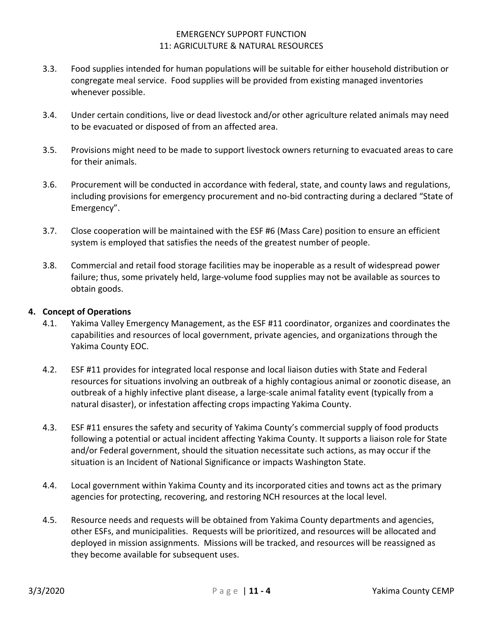- 3.3. Food supplies intended for human populations will be suitable for either household distribution or congregate meal service. Food supplies will be provided from existing managed inventories whenever possible.
- 3.4. Under certain conditions, live or dead livestock and/or other agriculture related animals may need to be evacuated or disposed of from an affected area.
- 3.5. Provisions might need to be made to support livestock owners returning to evacuated areas to care for their animals.
- 3.6. Procurement will be conducted in accordance with federal, state, and county laws and regulations, including provisions for emergency procurement and no-bid contracting during a declared "State of Emergency".
- 3.7. Close cooperation will be maintained with the ESF #6 (Mass Care) position to ensure an efficient system is employed that satisfies the needs of the greatest number of people.
- 3.8. Commercial and retail food storage facilities may be inoperable as a result of widespread power failure; thus, some privately held, large-volume food supplies may not be available as sources to obtain goods.

#### **4. Concept of Operations**

- 4.1. Yakima Valley Emergency Management, as the ESF #11 coordinator, organizes and coordinates the capabilities and resources of local government, private agencies, and organizations through the Yakima County EOC.
- 4.2. ESF #11 provides for integrated local response and local liaison duties with State and Federal resources for situations involving an outbreak of a highly contagious animal or zoonotic disease, an outbreak of a highly infective plant disease, a large-scale animal fatality event (typically from a natural disaster), or infestation affecting crops impacting Yakima County.
- 4.3. ESF #11 ensures the safety and security of Yakima County's commercial supply of food products following a potential or actual incident affecting Yakima County. It supports a liaison role for State and/or Federal government, should the situation necessitate such actions, as may occur if the situation is an Incident of National Significance or impacts Washington State.
- 4.4. Local government within Yakima County and its incorporated cities and towns act as the primary agencies for protecting, recovering, and restoring NCH resources at the local level.
- 4.5. Resource needs and requests will be obtained from Yakima County departments and agencies, other ESFs, and municipalities. Requests will be prioritized, and resources will be allocated and deployed in mission assignments. Missions will be tracked, and resources will be reassigned as they become available for subsequent uses.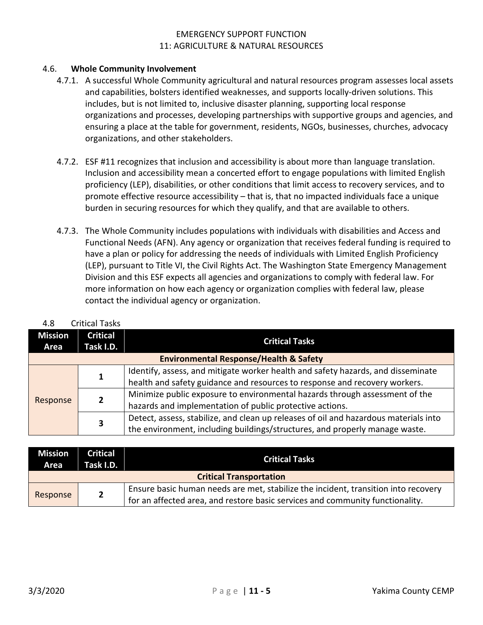#### 4.6. **Whole Community Involvement**

- 4.7.1. A successful Whole Community agricultural and natural resources program assesses local assets and capabilities, bolsters identified weaknesses, and supports locally-driven solutions. This includes, but is not limited to, inclusive disaster planning, supporting local response organizations and processes, developing partnerships with supportive groups and agencies, and ensuring a place at the table for government, residents, NGOs, businesses, churches, advocacy organizations, and other stakeholders.
- 4.7.2. ESF #11 recognizes that inclusion and accessibility is about more than language translation. Inclusion and accessibility mean a concerted effort to engage populations with limited English proficiency (LEP), disabilities, or other conditions that limit access to recovery services, and to promote effective resource accessibility – that is, that no impacted individuals face a unique burden in securing resources for which they qualify, and that are available to others.
- 4.7.3. The Whole Community includes populations with individuals with disabilities and Access and Functional Needs (AFN). Any agency or organization that receives federal funding is required to have a plan or policy for addressing the needs of individuals with Limited English Proficiency (LEP), pursuant to Title VI, the Civil Rights Act. The Washington State Emergency Management Division and this ESF expects all agencies and organizations to comply with federal law. For more information on how each agency or organization complies with federal law, please contact the individual agency or organization.

| <b>Mission</b> | <b>Critical</b>                    |                                                                                      |  |
|----------------|------------------------------------|--------------------------------------------------------------------------------------|--|
| Area           | <b>Critical Tasks</b><br>Task I.D. |                                                                                      |  |
|                |                                    | <b>Environmental Response/Health &amp; Safety</b>                                    |  |
|                | 1                                  | Identify, assess, and mitigate worker health and safety hazards, and disseminate     |  |
|                |                                    | health and safety guidance and resources to response and recovery workers.           |  |
|                | $\overline{2}$                     | Minimize public exposure to environmental hazards through assessment of the          |  |
| Response       |                                    | hazards and implementation of public protective actions.                             |  |
|                | 3                                  | Detect, assess, stabilize, and clean up releases of oil and hazardous materials into |  |
|                |                                    | the environment, including buildings/structures, and properly manage waste.          |  |

| 4.8 | <b>Critical Tasks</b> |  |
|-----|-----------------------|--|
|     |                       |  |

| <b>Mission</b><br>Area         | <b>Critical</b><br>Task I.D. | <b>Critical Tasks</b>                                                              |  |  |
|--------------------------------|------------------------------|------------------------------------------------------------------------------------|--|--|
| <b>Critical Transportation</b> |                              |                                                                                    |  |  |
|                                |                              | Ensure basic human needs are met, stabilize the incident, transition into recovery |  |  |
| Response                       | $\overline{2}$               | for an affected area, and restore basic services and community functionality.      |  |  |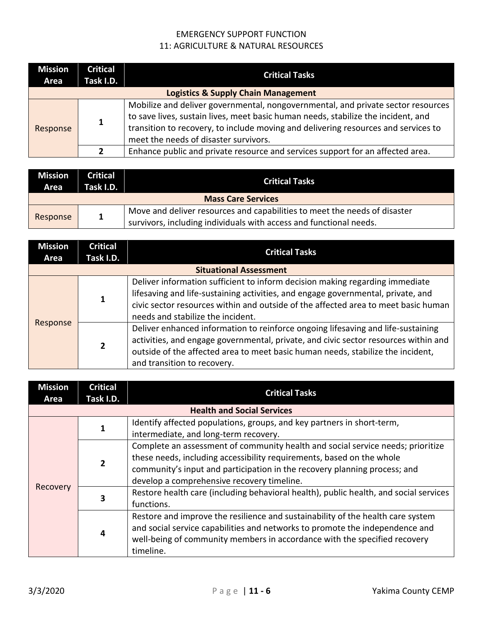| <b>Mission</b><br>Area | <b>Critical</b><br>Task I.D. | <b>Critical Tasks</b>                                                                                                                                                                                                                                                                                |  |  |
|------------------------|------------------------------|------------------------------------------------------------------------------------------------------------------------------------------------------------------------------------------------------------------------------------------------------------------------------------------------------|--|--|
|                        |                              | <b>Logistics &amp; Supply Chain Management</b>                                                                                                                                                                                                                                                       |  |  |
| Response               | 1                            | Mobilize and deliver governmental, nongovernmental, and private sector resources<br>to save lives, sustain lives, meet basic human needs, stabilize the incident, and<br>transition to recovery, to include moving and delivering resources and services to<br>meet the needs of disaster survivors. |  |  |
|                        | $\mathfrak z$                | Enhance public and private resource and services support for an affected area.                                                                                                                                                                                                                       |  |  |

| <b>Mission</b><br>Area                                                                                                                                                      | <b>Critical</b><br>Task I.D. | <b>Critical Tasks</b> |  |  |
|-----------------------------------------------------------------------------------------------------------------------------------------------------------------------------|------------------------------|-----------------------|--|--|
|                                                                                                                                                                             | <b>Mass Care Services</b>    |                       |  |  |
| Move and deliver resources and capabilities to meet the needs of disaster<br>$\mathbf{1}$<br>Response<br>survivors, including individuals with access and functional needs. |                              |                       |  |  |

| <b>Mission</b><br>Area | <b>Critical</b><br>Task I.D. | <b>Critical Tasks</b>                                                                                                                                                                                                                                                                       |
|------------------------|------------------------------|---------------------------------------------------------------------------------------------------------------------------------------------------------------------------------------------------------------------------------------------------------------------------------------------|
|                        |                              | <b>Situational Assessment</b>                                                                                                                                                                                                                                                               |
|                        |                              | Deliver information sufficient to inform decision making regarding immediate<br>lifesaving and life-sustaining activities, and engage governmental, private, and<br>civic sector resources within and outside of the affected area to meet basic human<br>needs and stabilize the incident. |
| Response               | 2                            | Deliver enhanced information to reinforce ongoing lifesaving and life-sustaining<br>activities, and engage governmental, private, and civic sector resources within and<br>outside of the affected area to meet basic human needs, stabilize the incident,<br>and transition to recovery.   |

| <b>Mission</b><br>Area | <b>Critical</b><br>Task I.D.      | <b>Critical Tasks</b>                                                                 |  |  |  |
|------------------------|-----------------------------------|---------------------------------------------------------------------------------------|--|--|--|
|                        | <b>Health and Social Services</b> |                                                                                       |  |  |  |
|                        |                                   | Identify affected populations, groups, and key partners in short-term,                |  |  |  |
|                        |                                   | intermediate, and long-term recovery.                                                 |  |  |  |
|                        |                                   | Complete an assessment of community health and social service needs; prioritize       |  |  |  |
|                        | $\overline{2}$                    | these needs, including accessibility requirements, based on the whole                 |  |  |  |
|                        |                                   | community's input and participation in the recovery planning process; and             |  |  |  |
|                        |                                   | develop a comprehensive recovery timeline.                                            |  |  |  |
| Recovery               | 3                                 | Restore health care (including behavioral health), public health, and social services |  |  |  |
|                        |                                   | functions.                                                                            |  |  |  |
|                        |                                   | Restore and improve the resilience and sustainability of the health care system       |  |  |  |
|                        |                                   | and social service capabilities and networks to promote the independence and          |  |  |  |
|                        | 4                                 | well-being of community members in accordance with the specified recovery             |  |  |  |
|                        |                                   | timeline.                                                                             |  |  |  |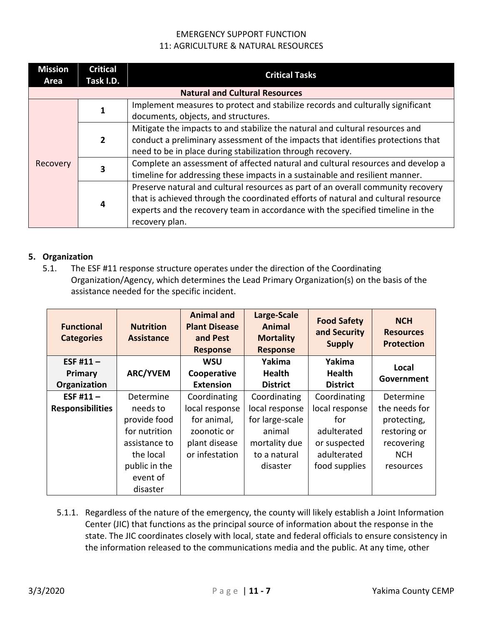| <b>Mission</b><br>Area | <b>Critical</b><br>Task I.D.          | <b>Critical Tasks</b>                                                             |  |  |  |
|------------------------|---------------------------------------|-----------------------------------------------------------------------------------|--|--|--|
|                        | <b>Natural and Cultural Resources</b> |                                                                                   |  |  |  |
|                        |                                       | Implement measures to protect and stabilize records and culturally significant    |  |  |  |
|                        |                                       | documents, objects, and structures.                                               |  |  |  |
|                        |                                       | Mitigate the impacts to and stabilize the natural and cultural resources and      |  |  |  |
|                        | $\overline{2}$                        | conduct a preliminary assessment of the impacts that identifies protections that  |  |  |  |
|                        |                                       | need to be in place during stabilization through recovery.                        |  |  |  |
| Recovery               | 3                                     | Complete an assessment of affected natural and cultural resources and develop a   |  |  |  |
|                        |                                       | timeline for addressing these impacts in a sustainable and resilient manner.      |  |  |  |
|                        |                                       | Preserve natural and cultural resources as part of an overall community recovery  |  |  |  |
|                        |                                       | that is achieved through the coordinated efforts of natural and cultural resource |  |  |  |
|                        | 4                                     | experts and the recovery team in accordance with the specified timeline in the    |  |  |  |
|                        |                                       | recovery plan.                                                                    |  |  |  |

#### **5. Organization**

5.1. The ESF #11 response structure operates under the direction of the Coordinating Organization/Agency, which determines the Lead Primary Organization(s) on the basis of the assistance needed for the specific incident.

| <b>Functional</b><br><b>Categories</b> | <b>Nutrition</b><br><b>Assistance</b> | <b>Animal and</b><br><b>Plant Disease</b><br>and Pest<br><b>Response</b> | Large-Scale<br>Animal<br><b>Mortality</b><br><b>Response</b> | <b>Food Safety</b><br>and Security<br><b>Supply</b> | <b>NCH</b><br><b>Resources</b><br><b>Protection</b> |
|----------------------------------------|---------------------------------------|--------------------------------------------------------------------------|--------------------------------------------------------------|-----------------------------------------------------|-----------------------------------------------------|
| ESF #11 $-$                            |                                       | <b>WSU</b>                                                               | Yakima                                                       | Yakima                                              | Local                                               |
| Primary                                | <b>ARC/YVEM</b>                       | Cooperative                                                              | <b>Health</b>                                                | <b>Health</b>                                       | Government                                          |
| Organization                           |                                       | <b>Extension</b>                                                         | <b>District</b>                                              | <b>District</b>                                     |                                                     |
| ESF #11 $-$                            | Determine                             | Coordinating                                                             | Coordinating                                                 | Coordinating                                        | Determine                                           |
| <b>Responsibilities</b>                | needs to                              | local response                                                           | local response                                               | local response                                      | the needs for                                       |
|                                        | provide food                          | for animal,                                                              | for large-scale                                              | for                                                 | protecting,                                         |
|                                        | for nutrition                         | zoonotic or                                                              | animal                                                       | adulterated                                         | restoring or                                        |
|                                        | assistance to                         | plant disease                                                            | mortality due                                                | or suspected                                        | recovering                                          |
|                                        | the local                             | or infestation                                                           | to a natural                                                 | adulterated                                         | <b>NCH</b>                                          |
|                                        | public in the                         |                                                                          | disaster                                                     | food supplies                                       | resources                                           |
|                                        | event of                              |                                                                          |                                                              |                                                     |                                                     |
|                                        | disaster                              |                                                                          |                                                              |                                                     |                                                     |

5.1.1. Regardless of the nature of the emergency, the county will likely establish a Joint Information Center (JIC) that functions as the principal source of information about the response in the state. The JIC coordinates closely with local, state and federal officials to ensure consistency in the information released to the communications media and the public. At any time, other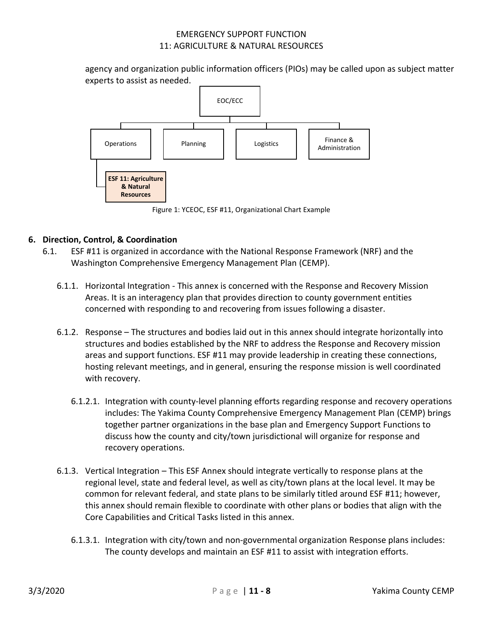agency and organization public information officers (PIOs) may be called upon as subject matter experts to assist as needed.



Figure 1: YCEOC, ESF #11, Organizational Chart Example

### **6. Direction, Control, & Coordination**

- 6.1. ESF #11 is organized in accordance with the National Response Framework (NRF) and the Washington Comprehensive Emergency Management Plan (CEMP).
	- 6.1.1. Horizontal Integration This annex is concerned with the Response and Recovery Mission Areas. It is an interagency plan that provides direction to county government entities concerned with responding to and recovering from issues following a disaster.
	- 6.1.2. Response The structures and bodies laid out in this annex should integrate horizontally into structures and bodies established by the NRF to address the Response and Recovery mission areas and support functions. ESF #11 may provide leadership in creating these connections, hosting relevant meetings, and in general, ensuring the response mission is well coordinated with recovery.
		- 6.1.2.1. Integration with county-level planning efforts regarding response and recovery operations includes: The Yakima County Comprehensive Emergency Management Plan (CEMP) brings together partner organizations in the base plan and Emergency Support Functions to discuss how the county and city/town jurisdictional will organize for response and recovery operations.
	- 6.1.3. Vertical Integration This ESF Annex should integrate vertically to response plans at the regional level, state and federal level, as well as city/town plans at the local level. It may be common for relevant federal, and state plans to be similarly titled around ESF #11; however, this annex should remain flexible to coordinate with other plans or bodies that align with the Core Capabilities and Critical Tasks listed in this annex.
		- 6.1.3.1. Integration with city/town and non-governmental organization Response plans includes: The county develops and maintain an ESF #11 to assist with integration efforts.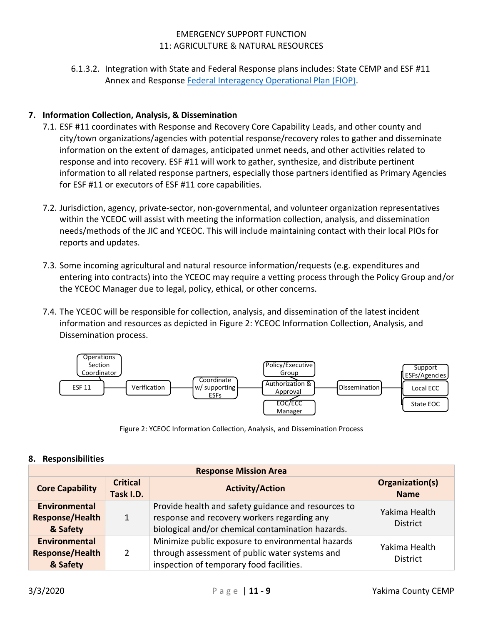6.1.3.2. Integration with State and Federal Response plans includes: State CEMP and ESF #11 Annex and Response [Federal Interagency Operational Plan \(FIOP\).](https://www.fema.gov/federal-interagency-operational-plans)

## **7. Information Collection, Analysis, & Dissemination**

- 7.1. ESF #11 coordinates with Response and Recovery Core Capability Leads, and other county and city/town organizations/agencies with potential response/recovery roles to gather and disseminate information on the extent of damages, anticipated unmet needs, and other activities related to response and into recovery. ESF #11 will work to gather, synthesize, and distribute pertinent information to all related response partners, especially those partners identified as Primary Agencies for ESF #11 or executors of ESF #11 core capabilities.
- 7.2. Jurisdiction, agency, private-sector, non-governmental, and volunteer organization representatives within the YCEOC will assist with meeting the information collection, analysis, and dissemination needs/methods of the JIC and YCEOC. This will include maintaining contact with their local PIOs for reports and updates.
- 7.3. Some incoming agricultural and natural resource information/requests (e.g. expenditures and entering into contracts) into the YCEOC may require a vetting process through the Policy Group and/or the YCEOC Manager due to legal, policy, ethical, or other concerns.
- 7.4. The YCEOC will be responsible for collection, analysis, and dissemination of the latest incident information and resources as depicted in Figure 2: YCEOC Information Collection, Analysis, and Dissemination process.



Figure 2: YCEOC Information Collection, Analysis, and Dissemination Process

#### **8. Responsibilities**

| <b>Response Mission Area</b>                               |                              |                                                                                                                                                         |                                  |
|------------------------------------------------------------|------------------------------|---------------------------------------------------------------------------------------------------------------------------------------------------------|----------------------------------|
| <b>Core Capability</b>                                     | <b>Critical</b><br>Task I.D. | Organization(s)<br><b>Activity/Action</b><br><b>Name</b>                                                                                                |                                  |
| <b>Environmental</b><br><b>Response/Health</b><br>& Safety | $\mathbf{1}$                 | Provide health and safety guidance and resources to<br>response and recovery workers regarding any<br>biological and/or chemical contamination hazards. | Yakima Health<br><b>District</b> |
| <b>Environmental</b><br><b>Response/Health</b><br>& Safety | $\overline{2}$               | Minimize public exposure to environmental hazards<br>through assessment of public water systems and<br>inspection of temporary food facilities.         | Yakima Health<br><b>District</b> |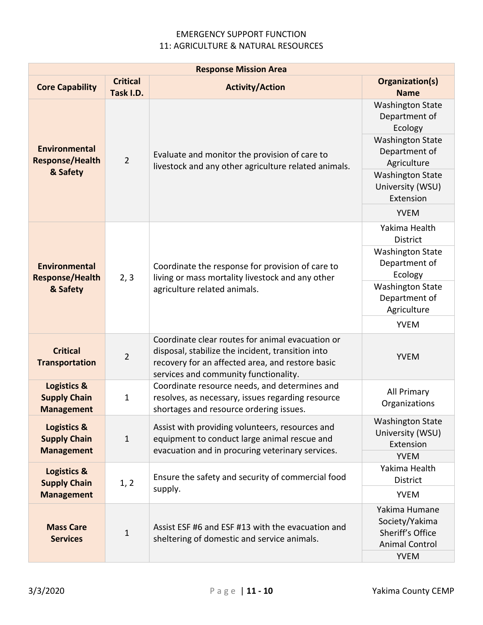| <b>Response Mission Area</b>                                       |                              |                                                                                                                                                                                                    |                                                                                                                                                                                           |
|--------------------------------------------------------------------|------------------------------|----------------------------------------------------------------------------------------------------------------------------------------------------------------------------------------------------|-------------------------------------------------------------------------------------------------------------------------------------------------------------------------------------------|
| <b>Core Capability</b>                                             | <b>Critical</b><br>Task I.D. | <b>Activity/Action</b>                                                                                                                                                                             | Organization(s)<br><b>Name</b>                                                                                                                                                            |
| <b>Environmental</b><br><b>Response/Health</b><br>& Safety         | $\overline{2}$               | Evaluate and monitor the provision of care to<br>livestock and any other agriculture related animals.                                                                                              | <b>Washington State</b><br>Department of<br>Ecology<br><b>Washington State</b><br>Department of<br>Agriculture<br><b>Washington State</b><br>University (WSU)<br>Extension<br><b>YVEM</b> |
|                                                                    |                              |                                                                                                                                                                                                    | Yakima Health<br><b>District</b><br><b>Washington State</b>                                                                                                                               |
| <b>Environmental</b><br><b>Response/Health</b><br>& Safety         | 2, 3                         | Coordinate the response for provision of care to<br>living or mass mortality livestock and any other<br>agriculture related animals.                                                               | Department of<br>Ecology<br><b>Washington State</b><br>Department of<br>Agriculture                                                                                                       |
|                                                                    |                              |                                                                                                                                                                                                    | <b>YVEM</b>                                                                                                                                                                               |
| <b>Critical</b><br><b>Transportation</b>                           | $\overline{2}$               | Coordinate clear routes for animal evacuation or<br>disposal, stabilize the incident, transition into<br>recovery for an affected area, and restore basic<br>services and community functionality. | <b>YVEM</b>                                                                                                                                                                               |
| <b>Logistics &amp;</b><br><b>Supply Chain</b><br><b>Management</b> | 1                            | Coordinate resource needs, and determines and<br>resolves, as necessary, issues regarding resource<br>shortages and resource ordering issues.                                                      | All Primary<br>Organizations                                                                                                                                                              |
| Logistics &<br><b>Supply Chain</b><br><b>Management</b>            | 1                            | Assist with providing volunteers, resources and<br>equipment to conduct large animal rescue and<br>evacuation and in procuring veterinary services.                                                | <b>Washington State</b><br>University (WSU)<br>Extension                                                                                                                                  |
| Logistics &<br><b>Supply Chain</b><br><b>Management</b>            | 1, 2                         | Ensure the safety and security of commercial food<br>supply.                                                                                                                                       | <b>YVEM</b><br>Yakima Health<br><b>District</b><br><b>YVEM</b>                                                                                                                            |
| <b>Mass Care</b><br><b>Services</b>                                | $\mathbf 1$                  | Assist ESF #6 and ESF #13 with the evacuation and<br>sheltering of domestic and service animals.                                                                                                   | Yakima Humane<br>Society/Yakima<br>Sheriff's Office<br><b>Animal Control</b><br><b>YVEM</b>                                                                                               |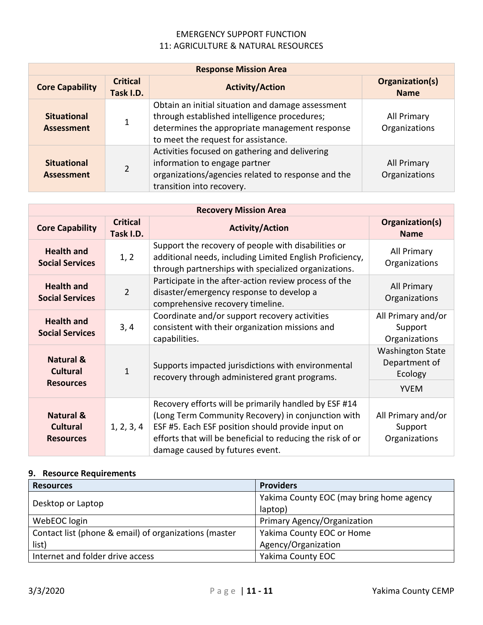| <b>Response Mission Area</b>            |                              |                                                                                                                                                                                            |                              |
|-----------------------------------------|------------------------------|--------------------------------------------------------------------------------------------------------------------------------------------------------------------------------------------|------------------------------|
| <b>Core Capability</b>                  | <b>Critical</b><br>Task I.D. | Organization(s)<br><b>Activity/Action</b><br><b>Name</b>                                                                                                                                   |                              |
| <b>Situational</b><br><b>Assessment</b> | 1                            | Obtain an initial situation and damage assessment<br>through established intelligence procedures;<br>determines the appropriate management response<br>to meet the request for assistance. | All Primary<br>Organizations |
| <b>Situational</b><br><b>Assessment</b> | $\mathfrak{D}$               | Activities focused on gathering and delivering<br>information to engage partner<br>organizations/agencies related to response and the<br>transition into recovery.                         | All Primary<br>Organizations |

| <b>Recovery Mission Area</b>                                |                              |                                                                                                                                                                                                                                                                   |                                                                    |
|-------------------------------------------------------------|------------------------------|-------------------------------------------------------------------------------------------------------------------------------------------------------------------------------------------------------------------------------------------------------------------|--------------------------------------------------------------------|
| <b>Core Capability</b>                                      | <b>Critical</b><br>Task I.D. | <b>Activity/Action</b>                                                                                                                                                                                                                                            | Organization(s)<br><b>Name</b>                                     |
| <b>Health and</b><br><b>Social Services</b>                 | 1, 2                         | Support the recovery of people with disabilities or<br>additional needs, including Limited English Proficiency,<br>through partnerships with specialized organizations.                                                                                           | All Primary<br>Organizations                                       |
| <b>Health and</b><br><b>Social Services</b>                 | $\overline{2}$               | Participate in the after-action review process of the<br>disaster/emergency response to develop a<br>comprehensive recovery timeline.                                                                                                                             | All Primary<br>Organizations                                       |
| <b>Health and</b><br><b>Social Services</b>                 | 3, 4                         | Coordinate and/or support recovery activities<br>consistent with their organization missions and<br>capabilities.                                                                                                                                                 | All Primary and/or<br>Support<br>Organizations                     |
| <b>Natural &amp;</b><br><b>Cultural</b><br><b>Resources</b> | 1                            | Supports impacted jurisdictions with environmental<br>recovery through administered grant programs.                                                                                                                                                               | <b>Washington State</b><br>Department of<br>Ecology<br><b>YVEM</b> |
| <b>Natural &amp;</b><br><b>Cultural</b><br><b>Resources</b> | 1, 2, 3, 4                   | Recovery efforts will be primarily handled by ESF #14<br>(Long Term Community Recovery) in conjunction with<br>ESF #5. Each ESF position should provide input on<br>efforts that will be beneficial to reducing the risk of or<br>damage caused by futures event. | All Primary and/or<br>Support<br>Organizations                     |

## **9. Resource Requirements**

| <b>Resources</b>                                      | <b>Providers</b>                         |
|-------------------------------------------------------|------------------------------------------|
|                                                       | Yakima County EOC (may bring home agency |
| Desktop or Laptop                                     | laptop)                                  |
| WebEOC login                                          | Primary Agency/Organization              |
| Contact list (phone & email) of organizations (master | Yakima County EOC or Home                |
| list)                                                 | Agency/Organization                      |
| Internet and folder drive access                      | Yakima County EOC                        |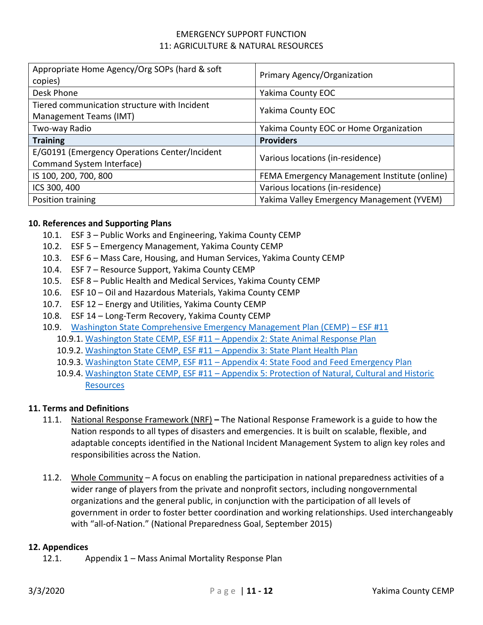| Appropriate Home Agency/Org SOPs (hard & soft<br>copies)                   | Primary Agency/Organization                  |
|----------------------------------------------------------------------------|----------------------------------------------|
| Desk Phone                                                                 | <b>Yakima County EOC</b>                     |
| Tiered communication structure with Incident<br>Management Teams (IMT)     | <b>Yakima County EOC</b>                     |
| Two-way Radio                                                              | Yakima County EOC or Home Organization       |
| <b>Training</b>                                                            | <b>Providers</b>                             |
|                                                                            |                                              |
| E/G0191 (Emergency Operations Center/Incident<br>Command System Interface) | Various locations (in-residence)             |
| IS 100, 200, 700, 800                                                      | FEMA Emergency Management Institute (online) |
| ICS 300, 400                                                               | Various locations (in-residence)             |

#### **10. References and Supporting Plans**

- 10.1. ESF 3 Public Works and Engineering, Yakima County CEMP
- 10.2. ESF 5 Emergency Management, Yakima County CEMP
- 10.3. ESF 6 Mass Care, Housing, and Human Services, Yakima County CEMP
- 10.4. ESF 7 Resource Support, Yakima County CEMP
- 10.5. ESF 8 Public Health and Medical Services, Yakima County CEMP
- 10.6. ESF 10 Oil and Hazardous Materials, Yakima County CEMP
- 10.7. ESF 12 Energy and Utilities, Yakima County CEMP
- 10.8. ESF 14 Long-Term Recovery, Yakima County CEMP
- 10.9. [Washington State Comprehensive Emergency Management Plan \(CEMP\)](https://mil.wa.gov/uploads/pdf/PLANS/esf-11-base-document---final.pdf)  ESF #11
	- 10.9.1. Washington State CEMP, ESF #11 [Appendix 2: State Animal Response Plan](https://mil.wa.gov/uploads/pdf/PLANS/esf-11-appendix-2--final.pdf)
	- 10.9.2. Washington State CEMP, ESF #11 [Appendix 3: State Plant Health Plan](https://mil.wa.gov/uploads/pdf/PLANS/esf-11-appendix-3---final.pdf)
	- 10.9.3. Washington State CEMP, ESF #11 [Appendix 4: State Food and Feed Emergency Plan](https://mil.wa.gov/uploads/pdf/PLANS/esf-11-appendix-4---final.pdf)
	- 10.9.4. Washington State CEMP, ESF #11 [Appendix 5: Protection of Natural, Cultural and Historic](https://mil.wa.gov/uploads/pdf/PLANS/esf11%20appendix%205.pdf)  **[Resources](https://mil.wa.gov/uploads/pdf/PLANS/esf11%20appendix%205.pdf)**

#### **11. Terms and Definitions**

- 11.1. National Response Framework (NRF) **–** The National Response Framework is a guide to how the Nation responds to all types of disasters and emergencies. It is built on scalable, flexible, and adaptable concepts identified in the National Incident Management System to align key roles and responsibilities across the Nation.
- 11.2. Whole Community A focus on enabling the participation in national preparedness activities of a wider range of players from the private and nonprofit sectors, including nongovernmental organizations and the general public, in conjunction with the participation of all levels of government in order to foster better coordination and working relationships. Used interchangeably with "all-of-Nation." (National Preparedness Goal, September 2015)

#### **12. Appendices**

12.1. Appendix 1 – Mass Animal Mortality Response Plan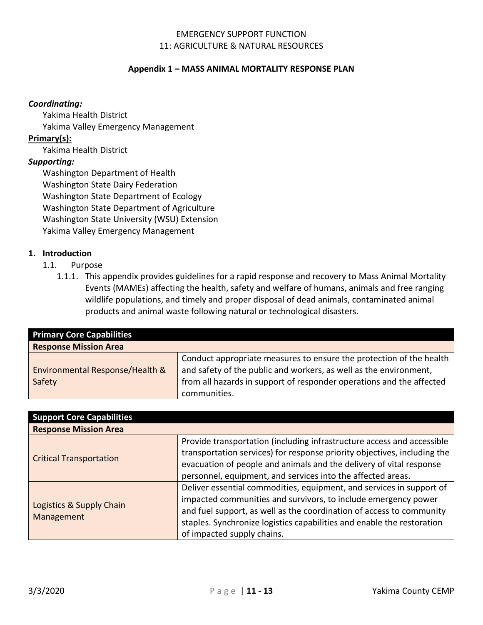#### **Appendix 1 – MASS ANIMAL MORTALITY RESPONSE PLAN**

#### *Coordinating:*

- Yakima Health District
- Yakima Valley Emergency Management

### **Primary(s):**

Yakima Health District

## *Supporting:*

Washington Department of Health Washington State Dairy Federation Washington State Department of Ecology Washington State Department of Agriculture Washington State University (WSU) Extension Yakima Valley Emergency Management

### **1. Introduction**

- 1.1. Purpose
	- 1.1.1. This appendix provides guidelines for a rapid response and recovery to Mass Animal Mortality Events (MAMEs) affecting the health, safety and welfare of humans, animals and free ranging wildlife populations, and timely and proper disposal of dead animals, contaminated animal products and animal waste following natural or technological disasters.

| <b>Primary Core Capabilities</b> |                                                                      |
|----------------------------------|----------------------------------------------------------------------|
| <b>Response Mission Area</b>     |                                                                      |
|                                  | Conduct appropriate measures to ensure the protection of the health  |
| Environmental Response/Health &  | and safety of the public and workers, as well as the environment,    |
| Safety                           | from all hazards in support of responder operations and the affected |
|                                  | communities.                                                         |

| <b>Support Core Capabilities</b> |                                                                          |  |
|----------------------------------|--------------------------------------------------------------------------|--|
| <b>Response Mission Area</b>     |                                                                          |  |
|                                  | Provide transportation (including infrastructure access and accessible   |  |
|                                  | transportation services) for response priority objectives, including the |  |
| <b>Critical Transportation</b>   | evacuation of people and animals and the delivery of vital response      |  |
|                                  | personnel, equipment, and services into the affected areas.              |  |
|                                  | Deliver essential commodities, equipment, and services in support of     |  |
|                                  | impacted communities and survivors, to include emergency power           |  |
| Logistics & Supply Chain         | and fuel support, as well as the coordination of access to community     |  |
| Management                       | staples. Synchronize logistics capabilities and enable the restoration   |  |
|                                  | of impacted supply chains.                                               |  |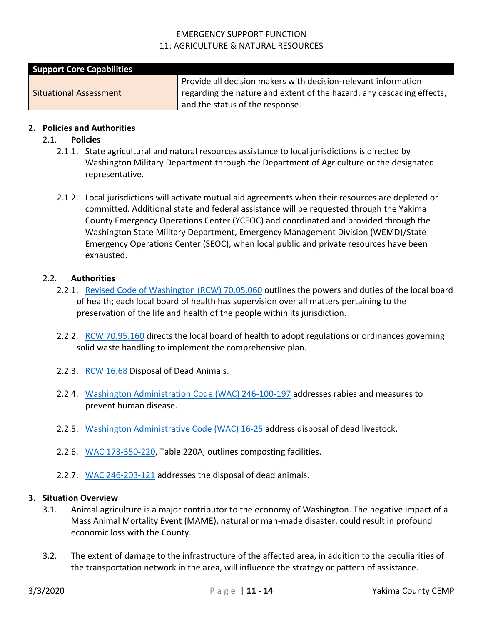| <b>Support Core Capabilities</b> |                                                                       |
|----------------------------------|-----------------------------------------------------------------------|
|                                  | Provide all decision makers with decision-relevant information        |
| <b>Situational Assessment</b>    | regarding the nature and extent of the hazard, any cascading effects, |
|                                  | and the status of the response.                                       |

#### **2. Policies and Authorities**

#### 2.1. **Policies**

- 2.1.1. State agricultural and natural resources assistance to local jurisdictions is directed by Washington Military Department through the Department of Agriculture or the designated representative.
- 2.1.2. Local jurisdictions will activate mutual aid agreements when their resources are depleted or committed. Additional state and federal assistance will be requested through the Yakima County Emergency Operations Center (YCEOC) and coordinated and provided through the Washington State Military Department, Emergency Management Division (WEMD)/State Emergency Operations Center (SEOC), when local public and private resources have been exhausted.

#### 2.2. **Authorities**

- 2.2.1. [Revised Code of Washington \(RCW\) 70.05.060](https://app.leg.wa.gov/RCW/default.aspx?cite=70.05.060) outlines the powers and duties of the local board of health; each local board of health has supervision over all matters pertaining to the preservation of the life and health of the people within its jurisdiction.
- 2.2.2. [RCW 70.95.160](https://app.leg.wa.gov/RCW/default.aspx?cite=70.95.160) directs the local board of health to adopt regulations or ordinances governing solid waste handling to implement the comprehensive plan.
- 2.2.3. [RCW 16.68](https://app.leg.wa.gov/RCW/default.aspx?cite=16.68) Disposal of Dead Animals.
- 2.2.4. [Washington Administration Code \(WAC\) 246-100-197](https://apps.leg.wa.gov/wac/default.aspx?cite=246-100-197) addresses rabies and measures to prevent human disease.
- 2.2.5. [Washington Administrative Code \(WAC\) 16-25](https://apps.leg.wa.gov/wac/default.aspx?cite=16-25) address disposal of dead livestock.
- 2.2.6. [WAC 173-350-220,](https://apps.leg.wa.gov/wac/default.aspx?cite=173-350-220) Table 220A, outlines composting facilities.
- 2.2.7. [WAC 246-203-121](https://apps.leg.wa.gov/wac/default.aspx?cite=246-203-121) addresses the disposal of dead animals.

#### **3. Situation Overview**

- 3.1. Animal agriculture is a major contributor to the economy of Washington. The negative impact of a Mass Animal Mortality Event (MAME), natural or man-made disaster, could result in profound economic loss with the County.
- 3.2. The extent of damage to the infrastructure of the affected area, in addition to the peculiarities of the transportation network in the area, will influence the strategy or pattern of assistance.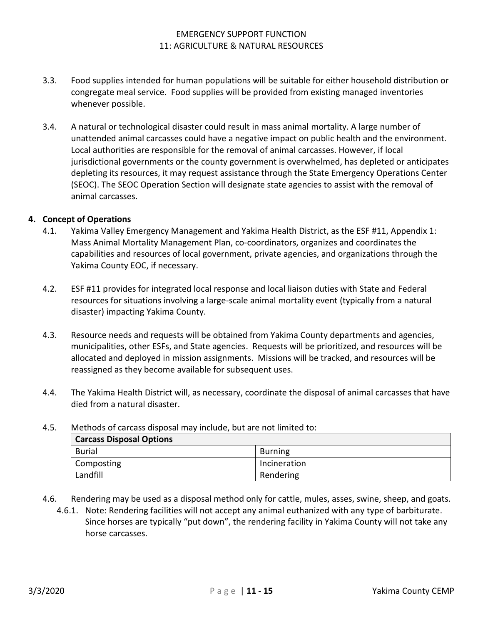- 3.3. Food supplies intended for human populations will be suitable for either household distribution or congregate meal service. Food supplies will be provided from existing managed inventories whenever possible.
- 3.4. A natural or technological disaster could result in mass animal mortality. A large number of unattended animal carcasses could have a negative impact on public health and the environment. Local authorities are responsible for the removal of animal carcasses. However, if local jurisdictional governments or the county government is overwhelmed, has depleted or anticipates depleting its resources, it may request assistance through the State Emergency Operations Center (SEOC). The SEOC Operation Section will designate state agencies to assist with the removal of animal carcasses.

### **4. Concept of Operations**

- 4.1. Yakima Valley Emergency Management and Yakima Health District, as the ESF #11, Appendix 1: Mass Animal Mortality Management Plan, co-coordinators, organizes and coordinates the capabilities and resources of local government, private agencies, and organizations through the Yakima County EOC, if necessary.
- 4.2. ESF #11 provides for integrated local response and local liaison duties with State and Federal resources for situations involving a large-scale animal mortality event (typically from a natural disaster) impacting Yakima County.
- 4.3. Resource needs and requests will be obtained from Yakima County departments and agencies, municipalities, other ESFs, and State agencies. Requests will be prioritized, and resources will be allocated and deployed in mission assignments. Missions will be tracked, and resources will be reassigned as they become available for subsequent uses.
- 4.4. The Yakima Health District will, as necessary, coordinate the disposal of animal carcasses that have died from a natural disaster.

| <b>Carcass Disposal Options</b> |              |  |
|---------------------------------|--------------|--|
| <b>Burial</b>                   | Burning      |  |
| Composting                      | Incineration |  |
| Landfill                        | Rendering    |  |

- 4.5. Methods of carcass disposal may include, but are not limited to:
- 4.6. Rendering may be used as a disposal method only for cattle, mules, asses, swine, sheep, and goats.
	- 4.6.1. Note: Rendering facilities will not accept any animal euthanized with any type of barbiturate. Since horses are typically "put down", the rendering facility in Yakima County will not take any horse carcasses.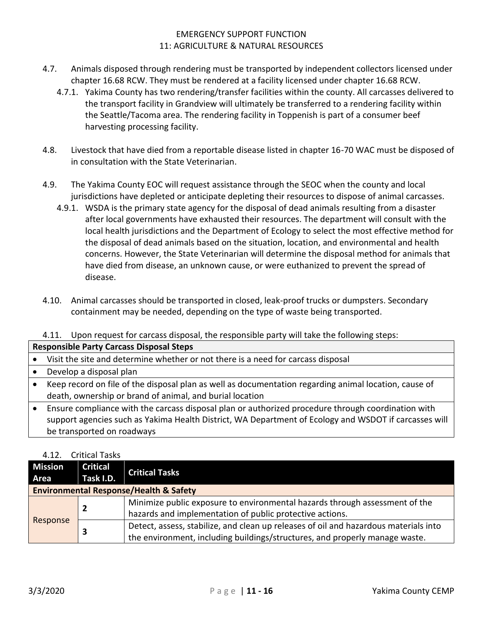- 4.7. Animals disposed through rendering must be transported by independent collectors licensed under chapter 16.68 RCW. They must be rendered at a facility licensed under chapter 16.68 RCW.
	- 4.7.1. Yakima County has two rendering/transfer facilities within the county. All carcasses delivered to the transport facility in Grandview will ultimately be transferred to a rendering facility within the Seattle/Tacoma area. The rendering facility in Toppenish is part of a consumer beef harvesting processing facility.
- 4.8. Livestock that have died from a reportable disease listed in chapter 16-70 WAC must be disposed of in consultation with the State Veterinarian.
- 4.9. The Yakima County EOC will request assistance through the SEOC when the county and local jurisdictions have depleted or anticipate depleting their resources to dispose of animal carcasses.
	- 4.9.1. WSDA is the primary state agency for the disposal of dead animals resulting from a disaster after local governments have exhausted their resources. The department will consult with the local health jurisdictions and the Department of Ecology to select the most effective method for the disposal of dead animals based on the situation, location, and environmental and health concerns. However, the State Veterinarian will determine the disposal method for animals that have died from disease, an unknown cause, or were euthanized to prevent the spread of disease.
- 4.10. Animal carcasses should be transported in closed, leak-proof trucks or dumpsters. Secondary containment may be needed, depending on the type of waste being transported.

## 4.11. Upon request for carcass disposal, the responsible party will take the following steps:

#### **Responsible Party Carcass Disposal Steps**

- Visit the site and determine whether or not there is a need for carcass disposal
- Develop a disposal plan
- Keep record on file of the disposal plan as well as documentation regarding animal location, cause of death, ownership or brand of animal, and burial location

• Ensure compliance with the carcass disposal plan or authorized procedure through coordination with support agencies such as Yakima Health District, WA Department of Ecology and WSDOT if carcasses will be transported on roadways

## 4.12. Critical Tasks

| <b>Mission</b>                                    | <b>Critical</b> | <b>Critical Tasks</b>                                                                |
|---------------------------------------------------|-----------------|--------------------------------------------------------------------------------------|
| Area                                              | Task I.D.       |                                                                                      |
| <b>Environmental Response/Health &amp; Safety</b> |                 |                                                                                      |
|                                                   |                 | Minimize public exposure to environmental hazards through assessment of the          |
|                                                   |                 | hazards and implementation of public protective actions.                             |
| Response                                          |                 | Detect, assess, stabilize, and clean up releases of oil and hazardous materials into |
|                                                   |                 | the environment, including buildings/structures, and properly manage waste.          |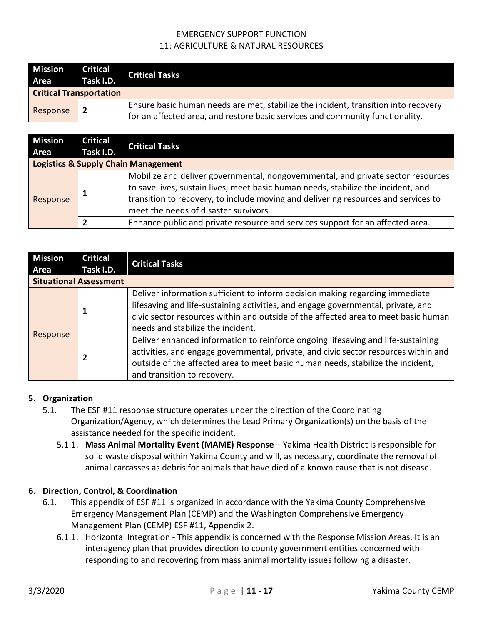| <b>Mission</b><br>Area         | <b>Critical</b><br>Task I.D. | <b>Critical Tasks</b>                                                                                                                                               |
|--------------------------------|------------------------------|---------------------------------------------------------------------------------------------------------------------------------------------------------------------|
| <b>Critical Transportation</b> |                              |                                                                                                                                                                     |
| Response                       | 2                            | Ensure basic human needs are met, stabilize the incident, transition into recovery<br>for an affected area, and restore basic services and community functionality. |

| <b>Mission</b><br>Area                         | <b>Critical</b><br>Task I.D. | <b>Critical Tasks</b>                                                                                                                                                                                                                                                                                |  |  |  |  |  |
|------------------------------------------------|------------------------------|------------------------------------------------------------------------------------------------------------------------------------------------------------------------------------------------------------------------------------------------------------------------------------------------------|--|--|--|--|--|
| <b>Logistics &amp; Supply Chain Management</b> |                              |                                                                                                                                                                                                                                                                                                      |  |  |  |  |  |
| Response                                       |                              | Mobilize and deliver governmental, nongovernmental, and private sector resources<br>to save lives, sustain lives, meet basic human needs, stabilize the incident, and<br>transition to recovery, to include moving and delivering resources and services to<br>meet the needs of disaster survivors. |  |  |  |  |  |
|                                                |                              | Enhance public and private resource and services support for an affected area.                                                                                                                                                                                                                       |  |  |  |  |  |

| <b>Mission</b><br>Area        | <b>Critical</b><br>Task I.D. | <b>Critical Tasks</b>                                                                                                                                                                                                                                                                       |  |  |  |  |  |
|-------------------------------|------------------------------|---------------------------------------------------------------------------------------------------------------------------------------------------------------------------------------------------------------------------------------------------------------------------------------------|--|--|--|--|--|
| <b>Situational Assessment</b> |                              |                                                                                                                                                                                                                                                                                             |  |  |  |  |  |
| Response                      |                              | Deliver information sufficient to inform decision making regarding immediate<br>lifesaving and life-sustaining activities, and engage governmental, private, and<br>civic sector resources within and outside of the affected area to meet basic human<br>needs and stabilize the incident. |  |  |  |  |  |
|                               |                              | Deliver enhanced information to reinforce ongoing lifesaving and life-sustaining<br>activities, and engage governmental, private, and civic sector resources within and<br>outside of the affected area to meet basic human needs, stabilize the incident,<br>and transition to recovery.   |  |  |  |  |  |

## **5. Organization**

- 5.1. The ESF #11 response structure operates under the direction of the Coordinating Organization/Agency, which determines the Lead Primary Organization(s) on the basis of the assistance needed for the specific incident.
	- 5.1.1. **Mass Animal Mortality Event (MAME) Response** Yakima Health District is responsible for solid waste disposal within Yakima County and will, as necessary, coordinate the removal of animal carcasses as debris for animals that have died of a known cause that is not disease.

## **6. Direction, Control, & Coordination**

- 6.1. This appendix of ESF #11 is organized in accordance with the Yakima County Comprehensive Emergency Management Plan (CEMP) and the Washington Comprehensive Emergency Management Plan (CEMP) ESF #11, Appendix 2.
	- 6.1.1. Horizontal Integration This appendix is concerned with the Response Mission Areas. It is an interagency plan that provides direction to county government entities concerned with responding to and recovering from mass animal mortality issues following a disaster.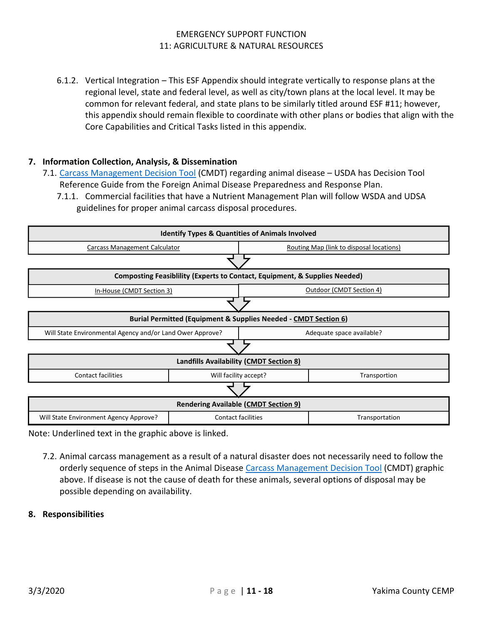6.1.2. Vertical Integration – This ESF Appendix should integrate vertically to response plans at the regional level, state and federal level, as well as city/town plans at the local level. It may be common for relevant federal, and state plans to be similarly titled around ESF #11; however, this appendix should remain flexible to coordinate with other plans or bodies that align with the Core Capabilities and Critical Tasks listed in this appendix.

### **7. Information Collection, Analysis, & Dissemination**

- 7.1. [Carcass Management Decision Tool](https://www.aphis.usda.gov/animal_health/carcass/docs/carcass-disposal-guide.pdf) (CMDT) regarding animal disease USDA has Decision Tool Reference Guide from the Foreign Animal Disease Preparedness and Response Plan.
	- 7.1.1. Commercial facilities that have a Nutrient Management Plan will follow WSDA and UDSA guidelines for proper animal carcass disposal procedures.



Note: Underlined text in the graphic above is linked.

7.2. Animal carcass management as a result of a natural disaster does not necessarily need to follow the orderly sequence of steps in the Animal Disease [Carcass Management Decision Tool](https://www.aphis.usda.gov/animal_health/carcass/docs/carcass-disposal-guide.pdf) (CMDT) graphic above. If disease is not the cause of death for these animals, several options of disposal may be possible depending on availability.

#### **8. Responsibilities**